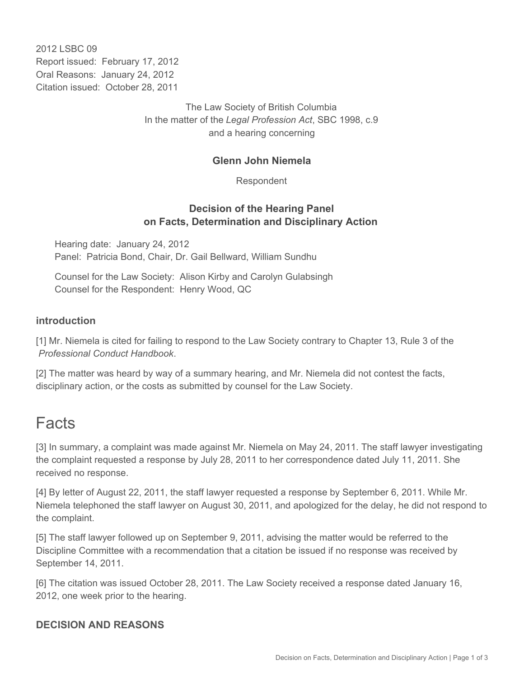2012 LSBC 09 Report issued: February 17, 2012 Oral Reasons: January 24, 2012 Citation issued: October 28, 2011

> The Law Society of British Columbia In the matter of the *Legal Profession Act*, SBC 1998, c.9 and a hearing concerning

## **Glenn John Niemela**

Respondent

# **Decision of the Hearing Panel on Facts, Determination and Disciplinary Action**

Hearing date: January 24, 2012 Panel: Patricia Bond, Chair, Dr. Gail Bellward, William Sundhu

Counsel for the Law Society: Alison Kirby and Carolyn Gulabsingh Counsel for the Respondent: Henry Wood, QC

#### **introduction**

[1] Mr. Niemela is cited for failing to respond to the Law Society contrary to Chapter 13, Rule 3 of the *Professional Conduct Handbook*.

[2] The matter was heard by way of a summary hearing, and Mr. Niemela did not contest the facts, disciplinary action, or the costs as submitted by counsel for the Law Society.

# Facts

[3] In summary, a complaint was made against Mr. Niemela on May 24, 2011. The staff lawyer investigating the complaint requested a response by July 28, 2011 to her correspondence dated July 11, 2011. She received no response.

[4] By letter of August 22, 2011, the staff lawyer requested a response by September 6, 2011. While Mr. Niemela telephoned the staff lawyer on August 30, 2011, and apologized for the delay, he did not respond to the complaint.

[5] The staff lawyer followed up on September 9, 2011, advising the matter would be referred to the Discipline Committee with a recommendation that a citation be issued if no response was received by September 14, 2011.

[6] The citation was issued October 28, 2011. The Law Society received a response dated January 16, 2012, one week prior to the hearing.

# **DECISION AND REASONS**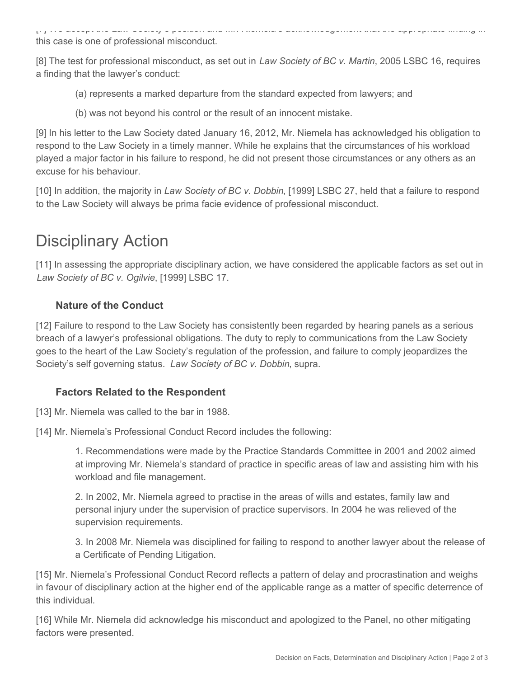[7] We accept the Law Society's position and Mr. Niemela's acknowledgement that the appropriate finding in this case is one of professional misconduct.

[8] The test for professional misconduct, as set out in *Law Society of BC v. Martin*, 2005 LSBC 16, requires a finding that the lawyer's conduct:

- (a) represents a marked departure from the standard expected from lawyers; and
- (b) was not beyond his control or the result of an innocent mistake.

[9] In his letter to the Law Society dated January 16, 2012, Mr. Niemela has acknowledged his obligation to respond to the Law Society in a timely manner. While he explains that the circumstances of his workload played a major factor in his failure to respond, he did not present those circumstances or any others as an excuse for his behaviour.

[10] In addition, the majority in *Law Society of BC v. Dobbin*, [1999] LSBC 27, held that a failure to respond to the Law Society will always be prima facie evidence of professional misconduct.

# Disciplinary Action

[11] In assessing the appropriate disciplinary action, we have considered the applicable factors as set out in *Law Society of BC v. Ogilvie*, [1999] LSBC 17.

# **Nature of the Conduct**

[12] Failure to respond to the Law Society has consistently been regarded by hearing panels as a serious breach of a lawyer's professional obligations. The duty to reply to communications from the Law Society goes to the heart of the Law Society's regulation of the profession, and failure to comply jeopardizes the Society's self governing status. *Law Society of BC v. Dobbin*, supra.

# **Factors Related to the Respondent**

[13] Mr. Niemela was called to the bar in 1988.

[14] Mr. Niemela's Professional Conduct Record includes the following:

1. Recommendations were made by the Practice Standards Committee in 2001 and 2002 aimed at improving Mr. Niemela's standard of practice in specific areas of law and assisting him with his workload and file management.

2. In 2002, Mr. Niemela agreed to practise in the areas of wills and estates, family law and personal injury under the supervision of practice supervisors. In 2004 he was relieved of the supervision requirements.

3. In 2008 Mr. Niemela was disciplined for failing to respond to another lawyer about the release of a Certificate of Pending Litigation.

[15] Mr. Niemela's Professional Conduct Record reflects a pattern of delay and procrastination and weighs in favour of disciplinary action at the higher end of the applicable range as a matter of specific deterrence of this individual.

[16] While Mr. Niemela did acknowledge his misconduct and apologized to the Panel, no other mitigating factors were presented.